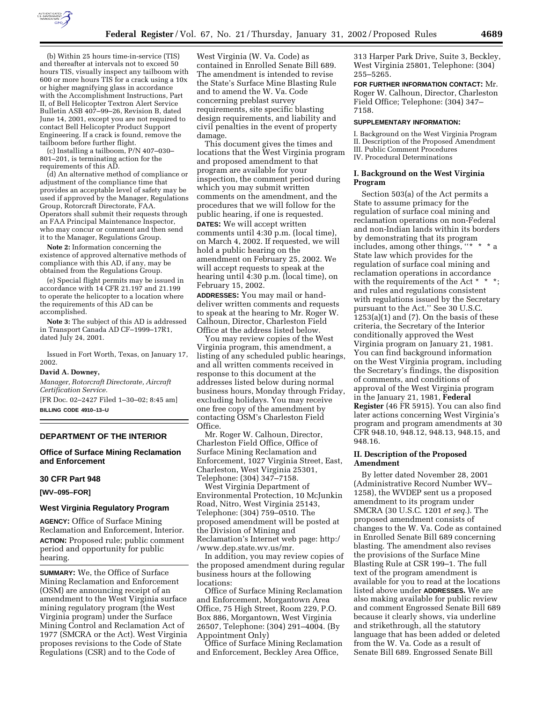

(b) Within 25 hours time-in-service (TIS) and thereafter at intervals not to exceed 50 hours TIS, visually inspect any tailboom with 600 or more hours TIS for a crack using a 10x or higher magnifying glass in accordance with the Accomplishment Instructions, Part II, of Bell Helicopter Textron Alert Service Bulletin ASB 407–99–26, Revision B, dated June 14, 2001, except you are not required to contact Bell Helicopter Product Support Engineering. If a crack is found, remove the tailboom before further flight.

(c) Installing a tailboom, P/N 407–030– 801–201, is terminating action for the requirements of this AD.

(d) An alternative method of compliance or adjustment of the compliance time that provides an acceptable level of safety may be used if approved by the Manager, Regulations Group, Rotorcraft Directorate, FAA. Operators shall submit their requests through an FAA Principal Maintenance Inspector, who may concur or comment and then send it to the Manager, Regulations Group.

**Note 2:** Information concerning the existence of approved alternative methods of compliance with this AD, if any, may be obtained from the Regulations Group.

(e) Special flight permits may be issued in accordance with 14 CFR 21.197 and 21.199 to operate the helicopter to a location where the requirements of this AD can be accomplished.

**Note 3:** The subject of this AD is addressed in Transport Canada AD CF–1999–17R1, dated July 24, 2001.

Issued in Fort Worth, Texas, on January 17, 2002.

#### **David A. Downey,**

*Manager, Rotorcraft Directorate, Aircraft Certification Service.*

[FR Doc. 02–2427 Filed 1–30–02; 8:45 am] **BILLING CODE 4910–13–U**

#### **DEPARTMENT OF THE INTERIOR**

**Office of Surface Mining Reclamation and Enforcement**

#### **30 CFR Part 948**

**[WV–095–FOR]**

### **West Virginia Regulatory Program**

**AGENCY:** Office of Surface Mining Reclamation and Enforcement, Interior. **ACTION:** Proposed rule; public comment period and opportunity for public hearing.

**SUMMARY:** We, the Office of Surface Mining Reclamation and Enforcement (OSM) are announcing receipt of an amendment to the West Virginia surface mining regulatory program (the West Virginia program) under the Surface Mining Control and Reclamation Act of 1977 (SMCRA or the Act). West Virginia proposes revisions to the Code of State Regulations (CSR) and to the Code of

West Virginia (W. Va. Code) as contained in Enrolled Senate Bill 689. The amendment is intended to revise the State's Surface Mine Blasting Rule and to amend the W. Va. Code concerning preblast survey requirements, site specific blasting design requirements, and liability and civil penalties in the event of property damage.

This document gives the times and locations that the West Virginia program and proposed amendment to that program are available for your inspection, the comment period during which you may submit written comments on the amendment, and the procedures that we will follow for the public hearing, if one is requested. **DATES:** We will accept written comments until 4:30 p.m. (local time), on March 4, 2002. If requested, we will hold a public hearing on the amendment on February 25, 2002. We will accept requests to speak at the hearing until 4:30 p.m. (local time), on February 15, 2002.

**ADDRESSES:** You may mail or handdeliver written comments and requests to speak at the hearing to Mr. Roger W. Calhoun, Director, Charleston Field Office at the address listed below.

You may review copies of the West Virginia program, this amendment, a listing of any scheduled public hearings, and all written comments received in response to this document at the addresses listed below during normal business hours, Monday through Friday, excluding holidays. You may receive one free copy of the amendment by contacting OSM's Charleston Field Office.

Mr. Roger W. Calhoun, Director, Charleston Field Office, Office of Surface Mining Reclamation and Enforcement, 1027 Virginia Street, East, Charleston, West Virginia 25301, Telephone: (304) 347–7158.

West Virginia Department of Environmental Protection, 10 McJunkin Road, Nitro, West Virginia 25143, Telephone: (304) 759–0510. The proposed amendment will be posted at the Division of Mining and Reclamation's Internet web page: http:/ /www.dep.state.wv.us/mr.

In addition, you may review copies of the proposed amendment during regular business hours at the following locations:

Office of Surface Mining Reclamation and Enforcement, Morgantown Area Office, 75 High Street, Room 229, P.O. Box 886, Morgantown, West Virginia 26507, Telephone: (304) 291–4004. (By Appointment Only)

Office of Surface Mining Reclamation and Enforcement, Beckley Area Office,

313 Harper Park Drive, Suite 3, Beckley, West Virginia 25801, Telephone: (304) 255–5265.

**FOR FURTHER INFORMATION CONTACT:** Mr. Roger W. Calhoun, Director, Charleston Field Office; Telephone: (304) 347– 7158.

#### **SUPPLEMENTARY INFORMATION:**

I. Background on the West Virginia Program II. Description of the Proposed Amendment III. Public Comment Procedures IV. Procedural Determinations

# **I. Background on the West Virginia Program**

Section 503(a) of the Act permits a State to assume primacy for the regulation of surface coal mining and reclamation operations on non-Federal and non-Indian lands within its borders by demonstrating that its program includes, among other things, ''\* \* \* a State law which provides for the regulation of surface coal mining and reclamation operations in accordance with the requirements of the Act \* \* \*; and rules and regulations consistent with regulations issued by the Secretary pursuant to the Act.'' See 30 U.S.C.  $1253(a)(1)$  and  $(7)$ . On the basis of these criteria, the Secretary of the Interior conditionally approved the West Virginia program on January 21, 1981. You can find background information on the West Virginia program, including the Secretary's findings, the disposition of comments, and conditions of approval of the West Virginia program in the January 21, 1981, **Federal Register** (46 FR 5915). You can also find later actions concerning West Virginia's program and program amendments at 30 CFR 948.10, 948.12, 948.13, 948.15, and 948.16.

### **II. Description of the Proposed Amendment**

By letter dated November 28, 2001 (Administrative Record Number WV– 1258), the WVDEP sent us a proposed amendment to its program under SMCRA (30 U.S.C. 1201 *et seq.*). The proposed amendment consists of changes to the W. Va. Code as contained in Enrolled Senate Bill 689 concerning blasting. The amendment also revises the provisions of the Surface Mine Blasting Rule at CSR 199–1. The full text of the program amendment is available for you to read at the locations listed above under **ADDRESSES.** We are also making available for public review and comment Engrossed Senate Bill 689 because it clearly shows, via underline and strikethrough, all the statutory language that has been added or deleted from the W. Va. Code as a result of Senate Bill 689. Engrossed Senate Bill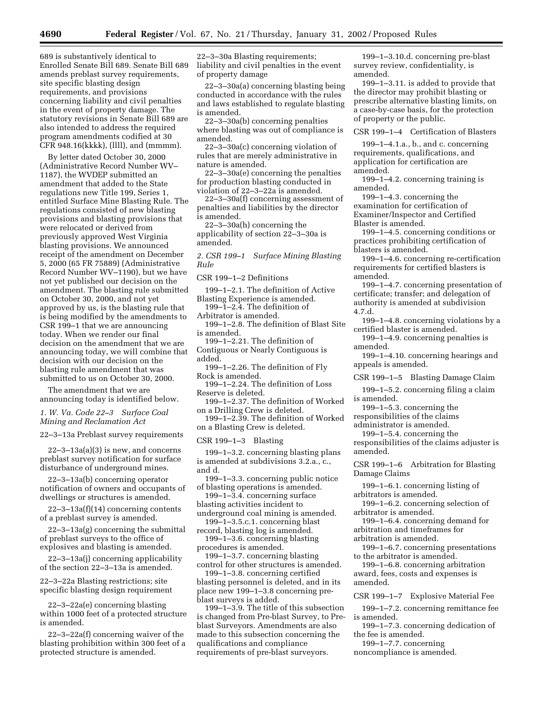689 is substantively identical to Enrolled Senate Bill 689. Senate Bill 689 amends preblast survey requirements, site specific blasting design requirements, and provisions concerning liability and civil penalties in the event of property damage. The statutory revisions in Senate Bill 689 are also intended to address the required program amendments codified at 30 CFR 948.16(kkkk), (llll), and (mmmm).

By letter dated October 30, 2000 (Administrative Record Number WV– 1187), the WVDEP submitted an amendment that added to the State regulations new Title 199, Series 1, entitled Surface Mine Blasting Rule. The regulations consisted of new blasting provisions and blasting provisions that were relocated or derived from previously approved West Virginia blasting provisions. We announced receipt of the amendment on December 5, 2000 (65 FR 75889) (Administrative Record Number WV–1190), but we have not yet published our decision on the amendment. The blasting rule submitted on October 30, 2000, and not yet approved by us, is the blasting rule that is being modified by the amendments to CSR 199–1 that we are announcing today. When we render our final decision on the amendment that we are announcing today, we will combine that decision with our decision on the blasting rule amendment that was submitted to us on October 30, 2000.

The amendment that we are announcing today is identified below.

*1. W. Va. Code 22–3 Surface Coal Mining and Reclamation Act*

22–3–13a Preblast survey requirements

22–3–13a(a)(3) is new, and concerns preblast survey notification for surface disturbance of underground mines.

22–3–13a(b) concerning operator notification of owners and occupants of dwellings or structures is amended.

22–3–13a(f)(14) concerning contents of a preblast survey is amended.

22–3–13a(g) concerning the submittal of preblast surveys to the office of explosives and blasting is amended.

22–3–13a(j) concerning applicability of the section 22–3–13a is amended.

22–3–22a Blasting restrictions; site specific blasting design requirement

22–3–22a(e) concerning blasting within 1000 feet of a protected structure is amended.

22–3–22a(f) concerning waiver of the blasting prohibition within 300 feet of a protected structure is amended.

22–3–30a Blasting requirements; liability and civil penalties in the event of property damage

22–3–30a(a) concerning blasting being conducted in accordance with the rules and laws established to regulate blasting is amended.

22–3–30a(b) concerning penalties where blasting was out of compliance is amended.

22–3–30a(c) concerning violation of rules that are merely administrative in nature is amended.

22–3–30a(e) concerning the penalties for production blasting conducted in violation of 22–3–22a is amended.

22–3–30a(f) concerning assessment of penalties and liabilities by the director is amended.

22–3–30a(h) concerning the applicability of section 22–3–30a is amended.

*2. CSR 199–1 Surface Mining Blasting Rule*

CSR 199–1–2 Definitions

199–1–2.1. The definition of Active Blasting Experience is amended.

199–1–2.4. The definition of Arbitrator is amended.

199–1–2.8. The definition of Blast Site is amended.

199–1–2.21. The definition of Contiguous or Nearly Contiguous is added.

199–1–2.26. The definition of Fly Rock is amended.

199–1–2.24. The definition of Loss Reserve is deleted.

199–1–2.37. The definition of Worked on a Drilling Crew is deleted.

199–1–2.39. The definition of Worked on a Blasting Crew is deleted.

CSR 199–1–3 Blasting

199–1–3.2. concerning blasting plans is amended at subdivisions 3.2.a., c., and d.

199–1–3.3. concerning public notice of blasting operations is amended.

199–1–3.4. concerning surface blasting activities incident to

underground coal mining is amended. 199–1–3.5.c.1. concerning blast

record, blasting log is amended. 199–1–3.6. concerning blasting

procedures is amended.

199–1–3.7. concerning blasting control for other structures is amended.

199–1–3.8. concerning certified blasting personnel is deleted, and in its place new 199–1–3.8 concerning preblast surveys is added.

199–1–3.9. The title of this subsection is changed from Pre-blast Survey, to Preblast Surveyors. Amendments are also made to this subsection concerning the qualifications and compliance requirements of pre-blast surveyors.

199–1–3.10.d. concerning pre-blast survey review, confidentiality, is amended.

199–1–3.11. is added to provide that the director may prohibit blasting or prescribe alternative blasting limits, on a case-by-case basis, for the protection of property or the public.

CSR 199–1–4 Certification of Blasters

199–1–4.1.a., b., and c. concerning requirements, qualifications, and application for certification are amended.

199–1–4.2. concerning training is amended.

199–1–4.3. concerning the examination for certification of Examiner/Inspector and Certified Blaster is amended.

199–1–4.5. concerning conditions or practices prohibiting certification of blasters is amended.

199–1–4.6. concerning re-certification requirements for certified blasters is amended.

199–1–4.7. concerning presentation of certificate; transfer; and delegation of authority is amended at subdivision 4.7.d.

199–1–4.8. concerning violations by a certified blaster is amended.

199–1–4.9. concerning penalties is amended.

199–1–4.10. concerning hearings and appeals is amended.

CSR 199–1–5 Blasting Damage Claim

199–1–5.2. concerning filing a claim is amended.

199–1–5.3. concerning the

responsibilities of the claims administrator is amended.

199–1–5.4. concerning the

responsibilities of the claims adjuster is amended.

CSR 199–1–6 Arbitration for Blasting Damage Claims

199–1–6.1. concerning listing of arbitrators is amended.

199–1–6.2. concerning selection of arbitrator is amended.

199–1–6.4. concerning demand for arbitration and timeframes for

arbitration is amended.

199–1–6.7. concerning presentations to the arbitrator is amended.

199–1–6.8. concerning arbitration award, fees, costs and expenses is amended.

CSR 199–1–7 Explosive Material Fee

199–1–7.2. concerning remittance fee is amended.

199–1–7.3. concerning dedication of the fee is amended.

199–1–7.7. concerning

noncompliance is amended.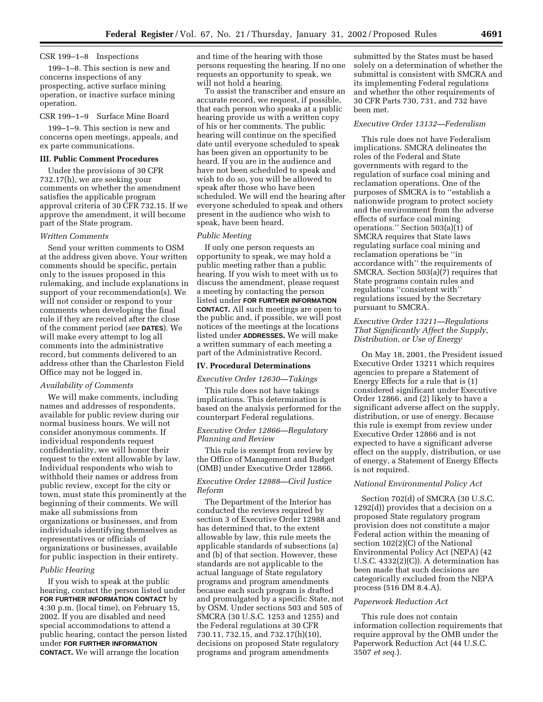# CSR 199–1–8 Inspections

199–1–8. This section is new and concerns inspections of any prospecting, active surface mining operation, or inactive surface mining operation.

### CSR 199–1–9 Surface Mine Board

199–1–9. This section is new and concerns open meetings, appeals, and ex parte communications.

### **III. Public Comment Procedures**

Under the provisions of 30 CFR 732.17(h), we are seeking your comments on whether the amendment satisfies the applicable program approval criteria of 30 CFR 732.15. If we approve the amendment, it will become part of the State program.

# *Written Comments*

Send your written comments to OSM at the address given above. Your written comments should be specific, pertain only to the issues proposed in this rulemaking, and include explanations in support of your recommendation(s). We will not consider or respond to your comments when developing the final rule if they are received after the close of the comment period (*see* **DATES**). We will make every attempt to log all comments into the administrative record, but comments delivered to an address other than the Charleston Field Office may not be logged in.

### *Availability of Comments*

We will make comments, including names and addresses of respondents, available for public review during our normal business hours. We will not consider anonymous comments. If individual respondents request confidentiality, we will honor their request to the extent allowable by law. Individual respondents who wish to withhold their names or address from public review, except for the city or town, must state this prominently at the beginning of their comments. We will make all submissions from organizations or businesses, and from individuals identifying themselves as representatives or officials of organizations or businesses, available for public inspection in their entirety.

#### *Public Hearing*

If you wish to speak at the public hearing, contact the person listed under **FOR FURTHER INFORMATION CONTACT** by 4:30 p.m. (local time), on February 15, 2002. If you are disabled and need special accommodations to attend a public hearing, contact the person listed under **FOR FURTHER INFORMATION CONTACT.** We will arrange the location

and time of the hearing with those persons requesting the hearing. If no one requests an opportunity to speak, we will not hold a hearing.

To assist the transcriber and ensure an accurate record, we request, if possible, that each person who speaks at a public hearing provide us with a written copy of his or her comments. The public hearing will continue on the specified date until everyone scheduled to speak has been given an opportunity to be heard. If you are in the audience and have not been scheduled to speak and wish to do so, you will be allowed to speak after those who have been scheduled. We will end the hearing after everyone scheduled to speak and others present in the audience who wish to speak, have been heard.

# *Public Meeting*

If only one person requests an opportunity to speak, we may hold a public meeting rather than a public hearing. If you wish to meet with us to discuss the amendment, please request a meeting by contacting the person listed under **FOR FURTHER INFORMATION CONTACT.** All such meetings are open to the public and, if possible, we will post notices of the meetings at the locations listed under **ADDRESSES.** We will make a written summary of each meeting a part of the Administrative Record.

#### **IV. Procedural Determinations**

*Executive Order 12630—Takings*

This rule does not have takings implications. This determination is based on the analysis performed for the counterpart Federal regulations.

# *Executive Order 12866—Regulatory Planning and Review*

This rule is exempt from review by the Office of Management and Budget (OMB) under Executive Order 12866.

# *Executive Order 12988—Civil Justice Reform*

The Department of the Interior has conducted the reviews required by section 3 of Executive Order 12988 and has determined that, to the extent allowable by law, this rule meets the applicable standards of subsections (a) and (b) of that section. However, these standards are not applicable to the actual language of State regulatory programs and program amendments because each such program is drafted and promulgated by a specific State, not by OSM. Under sections 503 and 505 of SMCRA (30 U.S.C. 1253 and 1255) and the Federal regulations at 30 CFR 730.11, 732.15, and 732.17(h)(10), decisions on proposed State regulatory programs and program amendments

submitted by the States must be based solely on a determination of whether the submittal is consistent with SMCRA and its implementing Federal regulations and whether the other requirements of 30 CFR Parts 730, 731, and 732 have been met.

# *Executive Order 13132—Federalism*

This rule does not have Federalism implications. SMCRA delineates the roles of the Federal and State governments with regard to the regulation of surface coal mining and reclamation operations. One of the purposes of SMCRA is to ''establish a nationwide program to protect society and the environment from the adverse effects of surface coal mining operations." Section  $503(a)(1)$  of SMCRA requires that State laws regulating surface coal mining and reclamation operations be ''in accordance with'' the requirements of SMCRA. Section  $503(a)(7)$  requires that State programs contain rules and regulations ''consistent with'' regulations issued by the Secretary pursuant to SMCRA.

# *Executive Order 13211—Regulations That Significantly Affect the Supply, Distribution, or Use of Energy*

On May 18, 2001, the President issued Executive Order 13211 which requires agencies to prepare a Statement of Energy Effects for a rule that is (1) considered significant under Executive Order 12866, and (2) likely to have a significant adverse affect on the supply, distribution, or use of energy. Because this rule is exempt from review under Executive Order 12866 and is not expected to have a significant adverse effect on the supply, distribution, or use of energy, a Statement of Energy Effects is not required.

# *National Environmental Policy Act*

Section 702(d) of SMCRA (30 U.S.C. 1292(d)) provides that a decision on a proposed State regulatory program provision does not constitute a major Federal action within the meaning of section 102(2)(C) of the National Environmental Policy Act (NEPA) (42 U.S.C. 4332(2)(C)). A determination has been made that such decisions are categorically excluded from the NEPA process (516 DM 8.4.A).

### *Paperwork Reduction Act*

This rule does not contain information collection requirements that require approval by the OMB under the Paperwork Reduction Act (44 U.S.C. 3507 *et seq.*).